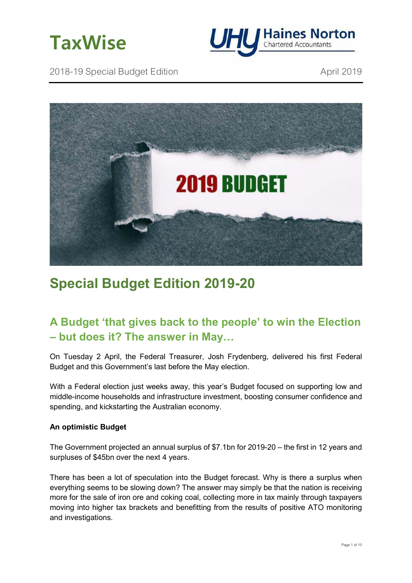



2018-19 Special Budget Edition **April 2019** April 2019



# **Special Budget Edition 2019-20**

# **A Budget 'that gives back to the people' to win the Election – but does it? The answer in May…**

On Tuesday 2 April, the Federal Treasurer, Josh Frydenberg, delivered his first Federal Budget and this Government's last before the May election.

With a Federal election just weeks away, this year's Budget focused on supporting low and middle-income households and infrastructure investment, boosting consumer confidence and spending, and kickstarting the Australian economy.

# **An optimistic Budget**

The Government projected an annual surplus of \$7.1bn for 2019-20 – the first in 12 years and surpluses of \$45bn over the next 4 years.

There has been a lot of speculation into the Budget forecast. Why is there a surplus when everything seems to be slowing down? The answer may simply be that the nation is receiving more for the sale of iron ore and coking coal, collecting more in tax mainly through taxpayers moving into higher tax brackets and benefitting from the results of positive ATO monitoring and investigations.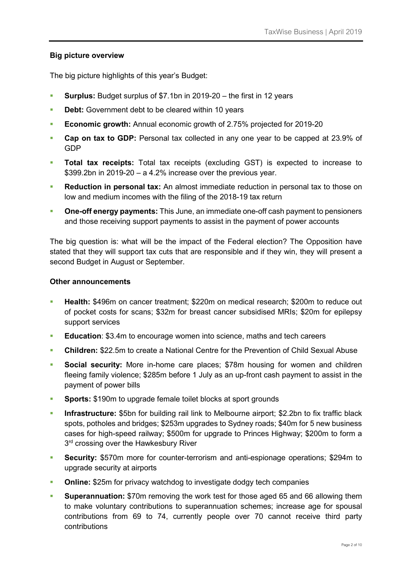# **Big picture overview**

The big picture highlights of this year's Budget:

- **Surplus:** Budget surplus of \$7.1bn in 2019-20 the first in 12 years
- **Debt:** Government debt to be cleared within 10 years
- **Economic growth:** Annual economic growth of 2.75% projected for 2019-20
- **Cap on tax to GDP:** Personal tax collected in any one year to be capped at 23.9% of GDP
- **Total tax receipts:** Total tax receipts (excluding GST) is expected to increase to \$399.2bn in 2019-20 – a 4.2% increase over the previous year.
- **Reduction in personal tax:** An almost immediate reduction in personal tax to those on low and medium incomes with the filing of the 2018-19 tax return
- **One-off energy payments:** This June, an immediate one-off cash payment to pensioners and those receiving support payments to assist in the payment of power accounts

The big question is: what will be the impact of the Federal election? The Opposition have stated that they will support tax cuts that are responsible and if they win, they will present a second Budget in August or September.

#### **Other announcements**

- **Health:** \$496m on cancer treatment; \$220m on medical research; \$200m to reduce out of pocket costs for scans; \$32m for breast cancer subsidised MRIs; \$20m for epilepsy support services
- **Education**: \$3.4m to encourage women into science, maths and tech careers
- **Children:** \$22.5m to create a National Centre for the Prevention of Child Sexual Abuse
- **Social security:** More in-home care places; \$78m housing for women and children fleeing family violence; \$285m before 1 July as an up-front cash payment to assist in the payment of power bills
- **Sports:** \$190m to upgrade female toilet blocks at sport grounds
- **Infrastructure:** \$5bn for building rail link to Melbourne airport; \$2.2bn to fix traffic black spots, potholes and bridges; \$253m upgrades to Sydney roads; \$40m for 5 new business cases for high-speed railway; \$500m for upgrade to Princes Highway; \$200m to form a 3<sup>rd</sup> crossing over the Hawkesbury River
- **Security:** \$570m more for counter-terrorism and anti-espionage operations; \$294m to upgrade security at airports
- **Online:** \$25m for privacy watchdog to investigate dodgy tech companies
- **Superannuation:** \$70m removing the work test for those aged 65 and 66 allowing them to make voluntary contributions to superannuation schemes; increase age for spousal contributions from 69 to 74, currently people over 70 cannot receive third party contributions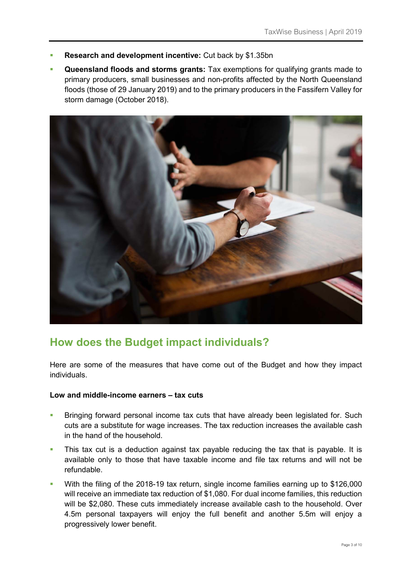- **Research and development incentive:** Cut back by \$1.35bn
- **Queensland floods and storms grants:** Tax exemptions for qualifying grants made to primary producers, small businesses and non-profits affected by the North Queensland floods (those of 29 January 2019) and to the primary producers in the Fassifern Valley for storm damage (October 2018).



# **How does the Budget impact individuals?**

Here are some of the measures that have come out of the Budget and how they impact individuals.

#### **Low and middle-income earners – tax cuts**

- **Bringing forward personal income tax cuts that have already been legislated for. Such** cuts are a substitute for wage increases. The tax reduction increases the available cash in the hand of the household.
- This tax cut is a deduction against tax payable reducing the tax that is payable. It is available only to those that have taxable income and file tax returns and will not be refundable.
- With the filing of the 2018-19 tax return, single income families earning up to \$126,000 will receive an immediate tax reduction of \$1,080. For dual income families, this reduction will be \$2,080. These cuts immediately increase available cash to the household. Over 4.5m personal taxpayers will enjoy the full benefit and another 5.5m will enjoy a progressively lower benefit.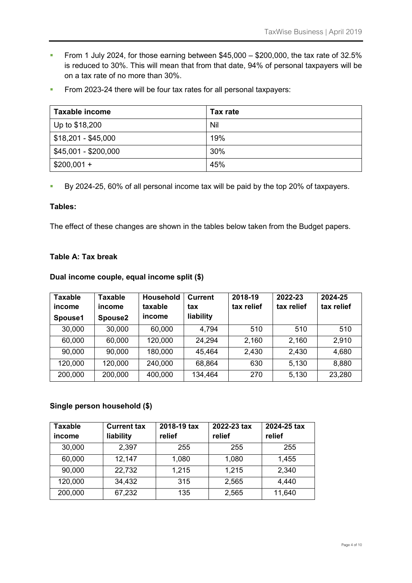- From 1 July 2024, for those earning between  $$45,000 $200,000$ , the tax rate of 32.5% is reduced to 30%. This will mean that from that date, 94% of personal taxpayers will be on a tax rate of no more than 30%.
- From 2023-24 there will be four tax rates for all personal taxpayers:

| <b>Taxable income</b> | Tax rate |
|-----------------------|----------|
| Up to \$18,200        | Nil      |
| $$18,201 - $45,000$   | 19%      |
| \$45,001 - \$200,000  | 30%      |
| $$200,001 +$          | 45%      |

By 2024-25, 60% of all personal income tax will be paid by the top 20% of taxpayers.

#### **Tables:**

The effect of these changes are shown in the tables below taken from the Budget papers.

# **Table A: Tax break**

# **Dual income couple, equal income split (\$)**

| <b>Taxable</b><br>income<br>Spouse1 | Taxable<br>income<br>Spouse <sub>2</sub> | <b>Household</b><br>taxable<br>income | <b>Current</b><br>tax<br>liability | 2018-19<br>tax relief | 2022-23<br>tax relief | 2024-25<br>tax relief |
|-------------------------------------|------------------------------------------|---------------------------------------|------------------------------------|-----------------------|-----------------------|-----------------------|
| 30,000                              | 30,000                                   | 60,000                                | 4,794                              | 510                   | 510                   | 510                   |
| 60,000                              | 60,000                                   | 120,000                               | 24,294                             | 2,160                 | 2.160                 | 2,910                 |
| 90,000                              | 90,000                                   | 180,000                               | 45,464                             | 2,430                 | 2,430                 | 4,680                 |
| 120,000                             | 120,000                                  | 240,000                               | 68,864                             | 630                   | 5.130                 | 8,880                 |
| 200,000                             | 200,000                                  | 400,000                               | 134,464                            | 270                   | 5,130                 | 23,280                |

#### **Single person household (\$)**

| <b>Taxable</b><br>income | <b>Current tax</b><br>liability | 2018-19 tax<br>relief | 2022-23 tax<br>relief | 2024-25 tax<br>relief |
|--------------------------|---------------------------------|-----------------------|-----------------------|-----------------------|
| 30,000                   | 2,397                           | 255                   | 255                   | 255                   |
| 60,000                   | 12,147                          | 1,080                 | 1,080                 | 1,455                 |
| 90,000                   | 22,732                          | 1,215                 | 1,215                 | 2,340                 |
| 120,000                  | 34,432                          | 315                   | 2,565                 | 4,440                 |
| 200,000                  | 67,232                          | 135                   | 2,565                 | 11,640                |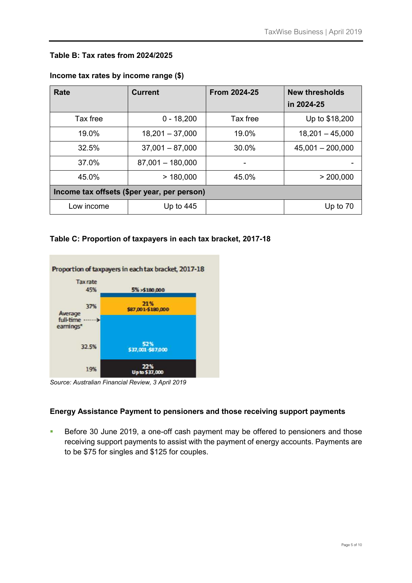# **Table B: Tax rates from 2024/2025**

| Rate                                        | <b>Current</b>     | <b>From 2024-25</b> | <b>New thresholds</b><br>in 2024-25 |
|---------------------------------------------|--------------------|---------------------|-------------------------------------|
| Tax free                                    | $0 - 18,200$       | Tax free            | Up to \$18,200                      |
| $19.0\%$                                    | $18,201 - 37,000$  | $19.0\%$            | $18,201 - 45,000$                   |
| 32.5%                                       | $37,001 - 87,000$  | 30.0%               | $45,001 - 200,000$                  |
| 37.0%                                       | $87,001 - 180,000$ |                     |                                     |
| 45.0%                                       | >180,000           | 45.0%               | > 200,000                           |
| Income tax offsets (\$per year, per person) |                    |                     |                                     |
| Low income                                  | Up to $445$        |                     | Up to 70                            |

#### **Income tax rates by income range (\$)**

# **Table C: Proportion of taxpayers in each tax bracket, 2017-18**



*Source: Australian Financial Review, 3 April 2019* 

# **Energy Assistance Payment to pensioners and those receiving support payments**

Before 30 June 2019, a one-off cash payment may be offered to pensioners and those receiving support payments to assist with the payment of energy accounts. Payments are to be \$75 for singles and \$125 for couples.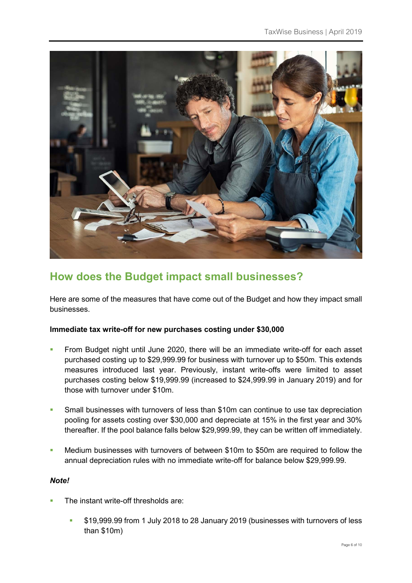

# **How does the Budget impact small businesses?**

Here are some of the measures that have come out of the Budget and how they impact small businesses.

# **Immediate tax write-off for new purchases costing under \$30,000**

- From Budget night until June 2020, there will be an immediate write-off for each asset purchased costing up to \$29,999.99 for business with turnover up to \$50m. This extends measures introduced last year. Previously, instant write-offs were limited to asset purchases costing below \$19,999.99 (increased to \$24,999.99 in January 2019) and for those with turnover under \$10m.
- Small businesses with turnovers of less than \$10m can continue to use tax depreciation pooling for assets costing over \$30,000 and depreciate at 15% in the first year and 30% thereafter. If the pool balance falls below \$29,999.99, they can be written off immediately.
- Medium businesses with turnovers of between \$10m to \$50m are required to follow the annual depreciation rules with no immediate write-off for balance below \$29,999.99.

# *Note!*

- The instant write-off thresholds are:
	- \$19,999.99 from 1 July 2018 to 28 January 2019 (businesses with turnovers of less than \$10m)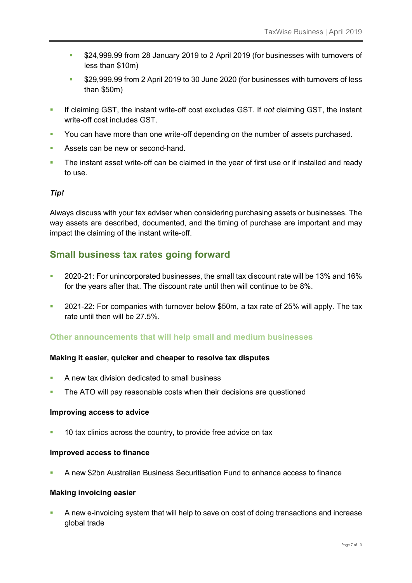- **\$24,999.99 from 28 January 2019 to 2 April 2019 (for businesses with turnovers of** less than \$10m)
- \$29,999.99 from 2 April 2019 to 30 June 2020 (for businesses with turnovers of less than \$50m)
- If claiming GST, the instant write-off cost excludes GST. If *not* claiming GST, the instant write-off cost includes GST.
- You can have more than one write-off depending on the number of assets purchased.
- Assets can be new or second-hand.
- The instant asset write-off can be claimed in the year of first use or if installed and ready to use.

# *Tip!*

Always discuss with your tax adviser when considering purchasing assets or businesses. The way assets are described, documented, and the timing of purchase are important and may impact the claiming of the instant write-off.

# **Small business tax rates going forward**

- 2020-21: For unincorporated businesses, the small tax discount rate will be 13% and 16% for the years after that. The discount rate until then will continue to be 8%.
- 2021-22: For companies with turnover below \$50m, a tax rate of 25% will apply. The tax rate until then will be 27.5%.

# **Other announcements that will help small and medium businesses**

#### **Making it easier, quicker and cheaper to resolve tax disputes**

- A new tax division dedicated to small business
- The ATO will pay reasonable costs when their decisions are questioned

#### **Improving access to advice**

<sup>1</sup> 10 tax clinics across the country, to provide free advice on tax

#### **Improved access to finance**

A new \$2bn Australian Business Securitisation Fund to enhance access to finance

#### **Making invoicing easier**

 A new e-invoicing system that will help to save on cost of doing transactions and increase global trade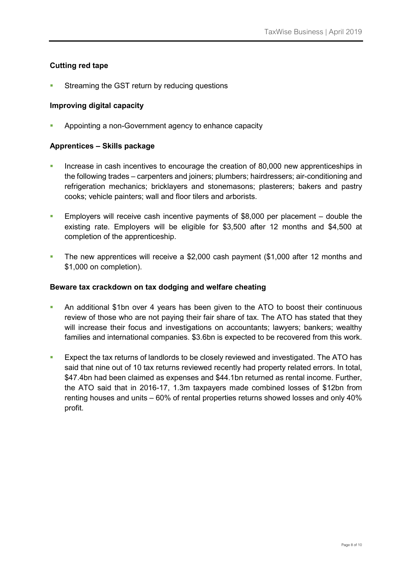#### **Cutting red tape**

Streaming the GST return by reducing questions

#### **Improving digital capacity**

Appointing a non-Government agency to enhance capacity

#### **Apprentices – Skills package**

- Increase in cash incentives to encourage the creation of 80,000 new apprenticeships in the following trades – carpenters and joiners; plumbers; hairdressers; air-conditioning and refrigeration mechanics; bricklayers and stonemasons; plasterers; bakers and pastry cooks; vehicle painters; wall and floor tilers and arborists.
- Employers will receive cash incentive payments of \$8,000 per placement double the existing rate. Employers will be eligible for \$3,500 after 12 months and \$4,500 at completion of the apprenticeship.
- The new apprentices will receive a \$2,000 cash payment (\$1,000 after 12 months and \$1,000 on completion).

#### **Beware tax crackdown on tax dodging and welfare cheating**

- An additional \$1bn over 4 years has been given to the ATO to boost their continuous review of those who are not paying their fair share of tax. The ATO has stated that they will increase their focus and investigations on accountants; lawyers; bankers; wealthy families and international companies. \$3.6bn is expected to be recovered from this work.
- Expect the tax returns of landlords to be closely reviewed and investigated. The ATO has said that nine out of 10 tax returns reviewed recently had property related errors. In total, \$47.4bn had been claimed as expenses and \$44.1bn returned as rental income. Further, the ATO said that in 2016-17, 1.3m taxpayers made combined losses of \$12bn from renting houses and units – 60% of rental properties returns showed losses and only 40% profit.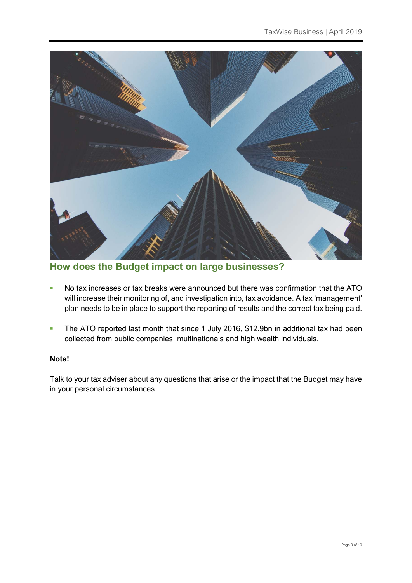

**How does the Budget impact on large businesses?** 

- No tax increases or tax breaks were announced but there was confirmation that the ATO will increase their monitoring of, and investigation into, tax avoidance. A tax 'management' plan needs to be in place to support the reporting of results and the correct tax being paid.
- The ATO reported last month that since 1 July 2016, \$12.9bn in additional tax had been collected from public companies, multinationals and high wealth individuals.

# **Note!**

Talk to your tax adviser about any questions that arise or the impact that the Budget may have in your personal circumstances.